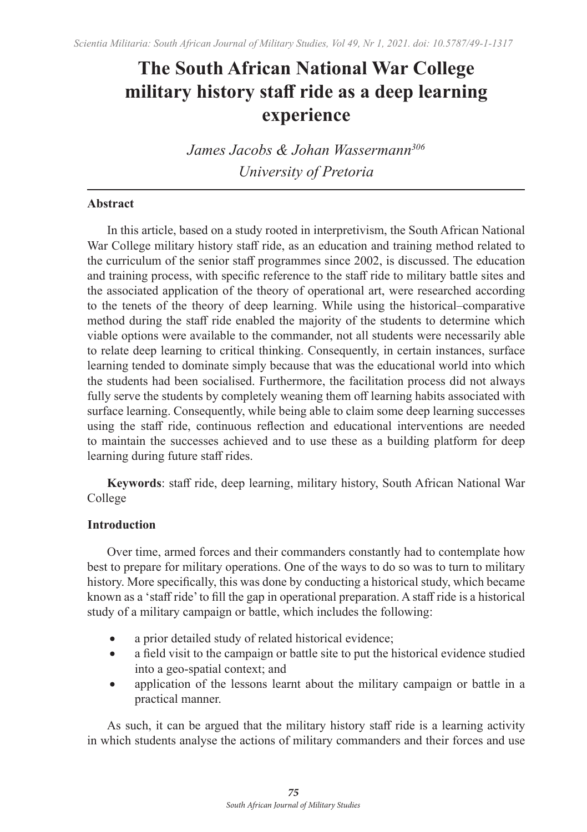# **The South African National War College military history staff ride as a deep learning experience**

*James Jacobs & Johan Wassermann306 University of Pretoria*

# **Abstract**

In this article, based on a study rooted in interpretivism, the South African National War College military history staff ride, as an education and training method related to the curriculum of the senior staff programmes since 2002, is discussed. The education and training process, with specific reference to the staff ride to military battle sites and the associated application of the theory of operational art, were researched according to the tenets of the theory of deep learning. While using the historical–comparative method during the staff ride enabled the majority of the students to determine which viable options were available to the commander, not all students were necessarily able to relate deep learning to critical thinking. Consequently, in certain instances, surface learning tended to dominate simply because that was the educational world into which the students had been socialised. Furthermore, the facilitation process did not always fully serve the students by completely weaning them off learning habits associated with surface learning. Consequently, while being able to claim some deep learning successes using the staff ride, continuous reflection and educational interventions are needed to maintain the successes achieved and to use these as a building platform for deep learning during future staff rides.

**Keywords**: staff ride, deep learning, military history, South African National War College

## **Introduction**

Over time, armed forces and their commanders constantly had to contemplate how best to prepare for military operations. One of the ways to do so was to turn to military history. More specifically, this was done by conducting a historical study, which became known as a 'staff ride' to fill the gap in operational preparation. A staff ride is a historical study of a military campaign or battle, which includes the following:

- a prior detailed study of related historical evidence;
- a field visit to the campaign or battle site to put the historical evidence studied into a geo-spatial context; and
- application of the lessons learnt about the military campaign or battle in a practical manner.

As such, it can be argued that the military history staff ride is a learning activity in which students analyse the actions of military commanders and their forces and use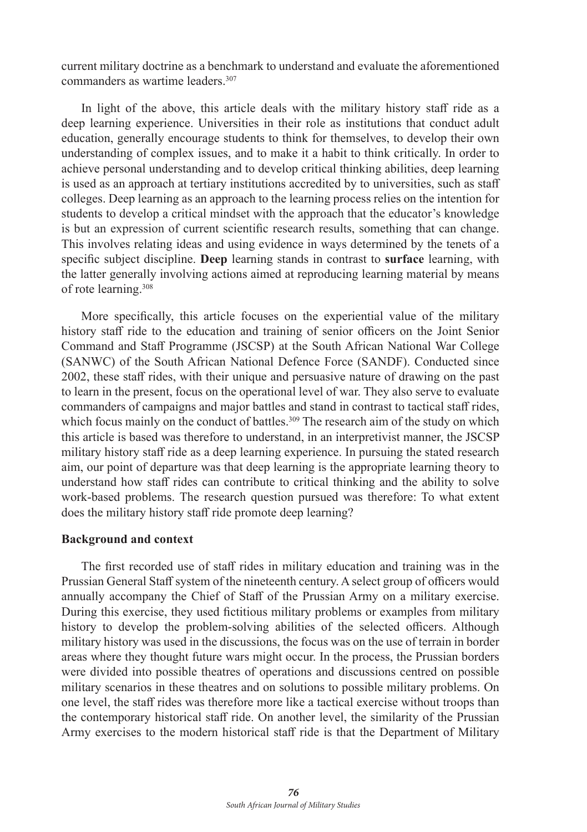current military doctrine as a benchmark to understand and evaluate the aforementioned commanders as wartime leaders<sup>307</sup>

In light of the above, this article deals with the military history staff ride as a deep learning experience. Universities in their role as institutions that conduct adult education, generally encourage students to think for themselves, to develop their own understanding of complex issues, and to make it a habit to think critically. In order to achieve personal understanding and to develop critical thinking abilities, deep learning is used as an approach at tertiary institutions accredited by to universities, such as staff colleges. Deep learning as an approach to the learning process relies on the intention for students to develop a critical mindset with the approach that the educator's knowledge is but an expression of current scientific research results, something that can change. This involves relating ideas and using evidence in ways determined by the tenets of a specific subject discipline. **Deep** learning stands in contrast to **surface** learning, with the latter generally involving actions aimed at reproducing learning material by means of rote learning.308

More specifically, this article focuses on the experiential value of the military history staff ride to the education and training of senior officers on the Joint Senior Command and Staff Programme (JSCSP) at the South African National War College (SANWC) of the South African National Defence Force (SANDF). Conducted since 2002, these staff rides, with their unique and persuasive nature of drawing on the past to learn in the present, focus on the operational level of war. They also serve to evaluate commanders of campaigns and major battles and stand in contrast to tactical staff rides, which focus mainly on the conduct of battles.<sup>309</sup> The research aim of the study on which this article is based was therefore to understand, in an interpretivist manner, the JSCSP military history staff ride as a deep learning experience. In pursuing the stated research aim, our point of departure was that deep learning is the appropriate learning theory to understand how staff rides can contribute to critical thinking and the ability to solve work-based problems. The research question pursued was therefore: To what extent does the military history staff ride promote deep learning?

#### **Background and context**

The first recorded use of staff rides in military education and training was in the Prussian General Staff system of the nineteenth century. A select group of officers would annually accompany the Chief of Staff of the Prussian Army on a military exercise. During this exercise, they used fictitious military problems or examples from military history to develop the problem-solving abilities of the selected officers. Although military history was used in the discussions, the focus was on the use of terrain in border areas where they thought future wars might occur. In the process, the Prussian borders were divided into possible theatres of operations and discussions centred on possible military scenarios in these theatres and on solutions to possible military problems. On one level, the staff rides was therefore more like a tactical exercise without troops than the contemporary historical staff ride. On another level, the similarity of the Prussian Army exercises to the modern historical staff ride is that the Department of Military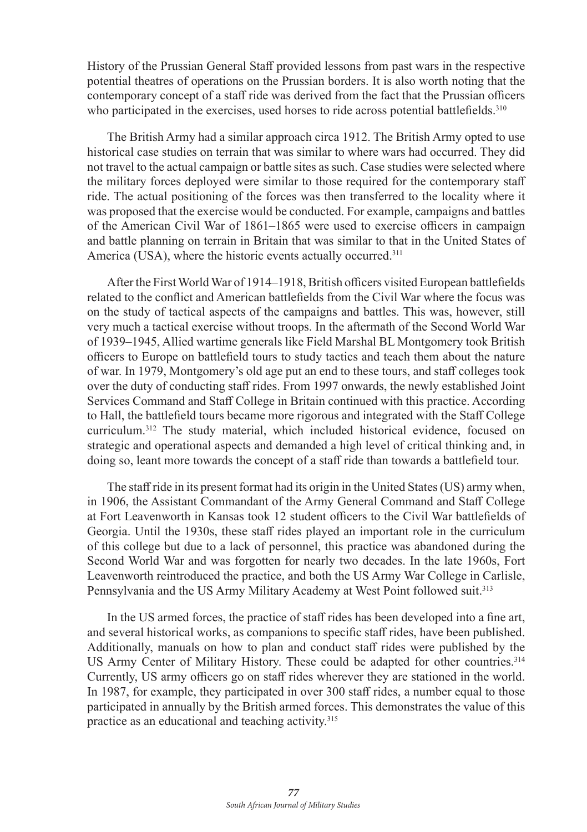History of the Prussian General Staff provided lessons from past wars in the respective potential theatres of operations on the Prussian borders. It is also worth noting that the contemporary concept of a staff ride was derived from the fact that the Prussian officers who participated in the exercises, used horses to ride across potential battlefields.<sup>310</sup>

The British Army had a similar approach circa 1912. The British Army opted to use historical case studies on terrain that was similar to where wars had occurred. They did not travel to the actual campaign or battle sites as such. Case studies were selected where the military forces deployed were similar to those required for the contemporary staff ride. The actual positioning of the forces was then transferred to the locality where it was proposed that the exercise would be conducted. For example, campaigns and battles of the American Civil War of 1861–1865 were used to exercise officers in campaign and battle planning on terrain in Britain that was similar to that in the United States of America (USA), where the historic events actually occurred.<sup>311</sup>

After the First World War of 1914–1918, British officers visited European battlefields related to the conflict and American battlefields from the Civil War where the focus was on the study of tactical aspects of the campaigns and battles. This was, however, still very much a tactical exercise without troops. In the aftermath of the Second World War of 1939–1945, Allied wartime generals like Field Marshal BL Montgomery took British officers to Europe on battlefield tours to study tactics and teach them about the nature of war. In 1979, Montgomery's old age put an end to these tours, and staff colleges took over the duty of conducting staff rides. From 1997 onwards, the newly established Joint Services Command and Staff College in Britain continued with this practice. According to Hall, the battlefield tours became more rigorous and integrated with the Staff College curriculum.312 The study material, which included historical evidence, focused on strategic and operational aspects and demanded a high level of critical thinking and, in doing so, leant more towards the concept of a staff ride than towards a battlefield tour.

The staff ride in its present format had its origin in the United States (US) army when, in 1906, the Assistant Commandant of the Army General Command and Staff College at Fort Leavenworth in Kansas took 12 student officers to the Civil War battlefields of Georgia. Until the 1930s, these staff rides played an important role in the curriculum of this college but due to a lack of personnel, this practice was abandoned during the Second World War and was forgotten for nearly two decades. In the late 1960s, Fort Leavenworth reintroduced the practice, and both the US Army War College in Carlisle, Pennsylvania and the US Army Military Academy at West Point followed suit.<sup>313</sup>

In the US armed forces, the practice of staff rides has been developed into a fine art, and several historical works, as companions to specific staff rides, have been published. Additionally, manuals on how to plan and conduct staff rides were published by the US Army Center of Military History. These could be adapted for other countries.<sup>314</sup> Currently, US army officers go on staff rides wherever they are stationed in the world. In 1987, for example, they participated in over 300 staff rides, a number equal to those participated in annually by the British armed forces. This demonstrates the value of this practice as an educational and teaching activity.315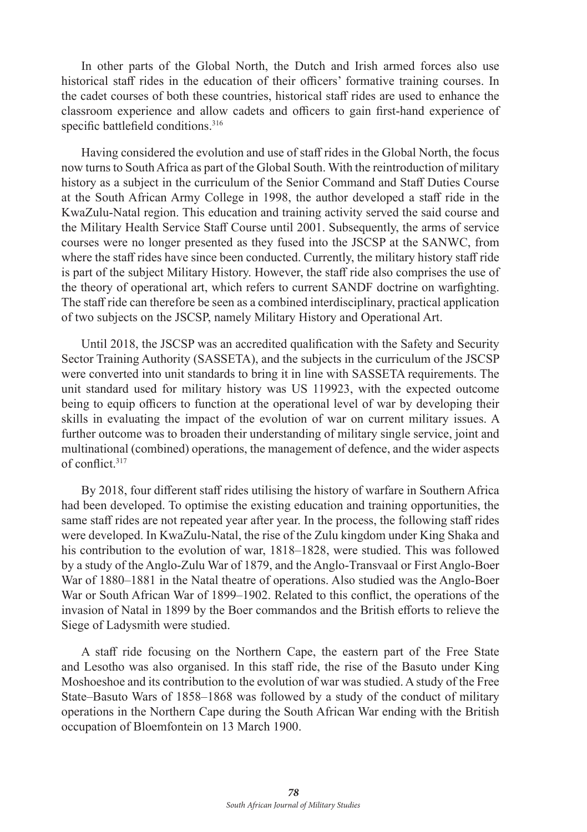In other parts of the Global North, the Dutch and Irish armed forces also use historical staff rides in the education of their officers' formative training courses. In the cadet courses of both these countries, historical staff rides are used to enhance the classroom experience and allow cadets and officers to gain first-hand experience of specific battlefield conditions.<sup>316</sup>

Having considered the evolution and use of staff rides in the Global North, the focus now turns to South Africa as part of the Global South. With the reintroduction of military history as a subject in the curriculum of the Senior Command and Staff Duties Course at the South African Army College in 1998, the author developed a staff ride in the KwaZulu-Natal region. This education and training activity served the said course and the Military Health Service Staff Course until 2001. Subsequently, the arms of service courses were no longer presented as they fused into the JSCSP at the SANWC, from where the staff rides have since been conducted. Currently, the military history staff ride is part of the subject Military History. However, the staff ride also comprises the use of the theory of operational art, which refers to current SANDF doctrine on warfighting. The staff ride can therefore be seen as a combined interdisciplinary, practical application of two subjects on the JSCSP, namely Military History and Operational Art.

Until 2018, the JSCSP was an accredited qualification with the Safety and Security Sector Training Authority (SASSETA), and the subjects in the curriculum of the JSCSP were converted into unit standards to bring it in line with SASSETA requirements. The unit standard used for military history was US 119923, with the expected outcome being to equip officers to function at the operational level of war by developing their skills in evaluating the impact of the evolution of war on current military issues. A further outcome was to broaden their understanding of military single service, joint and multinational (combined) operations, the management of defence, and the wider aspects of conflict.<sup>317</sup>

By 2018, four different staff rides utilising the history of warfare in Southern Africa had been developed. To optimise the existing education and training opportunities, the same staff rides are not repeated year after year. In the process, the following staff rides were developed. In KwaZulu-Natal, the rise of the Zulu kingdom under King Shaka and his contribution to the evolution of war, 1818–1828, were studied. This was followed by a study of the Anglo-Zulu War of 1879, and the Anglo-Transvaal or First Anglo-Boer War of 1880–1881 in the Natal theatre of operations. Also studied was the Anglo-Boer War or South African War of 1899–1902. Related to this conflict, the operations of the invasion of Natal in 1899 by the Boer commandos and the British efforts to relieve the Siege of Ladysmith were studied.

A staff ride focusing on the Northern Cape, the eastern part of the Free State and Lesotho was also organised. In this staff ride, the rise of the Basuto under King Moshoeshoe and its contribution to the evolution of war was studied. A study of the Free State–Basuto Wars of 1858–1868 was followed by a study of the conduct of military operations in the Northern Cape during the South African War ending with the British occupation of Bloemfontein on 13 March 1900.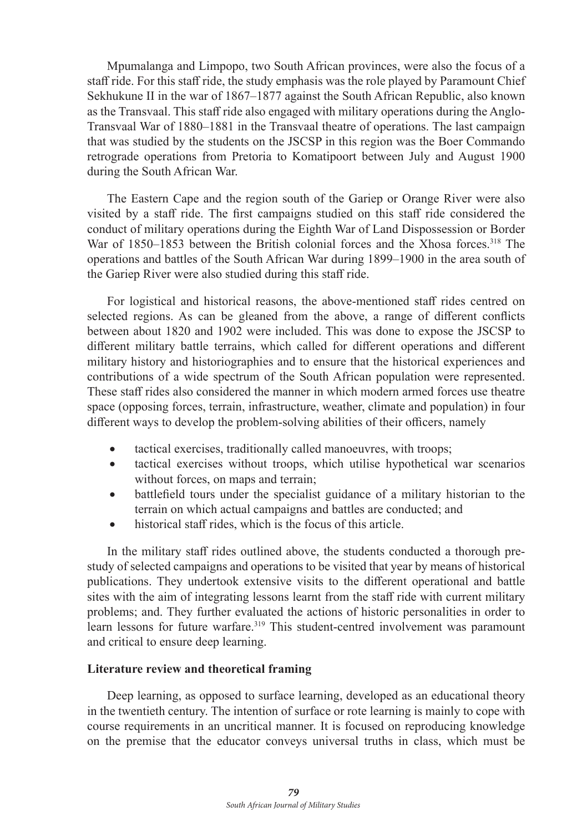Mpumalanga and Limpopo, two South African provinces, were also the focus of a staff ride. For this staff ride, the study emphasis was the role played by Paramount Chief Sekhukune II in the war of 1867–1877 against the South African Republic, also known as the Transvaal. This staff ride also engaged with military operations during the Anglo-Transvaal War of 1880–1881 in the Transvaal theatre of operations. The last campaign that was studied by the students on the JSCSP in this region was the Boer Commando retrograde operations from Pretoria to Komatipoort between July and August 1900 during the South African War.

The Eastern Cape and the region south of the Gariep or Orange River were also visited by a staff ride. The first campaigns studied on this staff ride considered the conduct of military operations during the Eighth War of Land Dispossession or Border War of 1850–1853 between the British colonial forces and the Xhosa forces.<sup>318</sup> The operations and battles of the South African War during 1899–1900 in the area south of the Gariep River were also studied during this staff ride.

For logistical and historical reasons, the above-mentioned staff rides centred on selected regions. As can be gleaned from the above, a range of different conflicts between about 1820 and 1902 were included. This was done to expose the JSCSP to different military battle terrains, which called for different operations and different military history and historiographies and to ensure that the historical experiences and contributions of a wide spectrum of the South African population were represented. These staff rides also considered the manner in which modern armed forces use theatre space (opposing forces, terrain, infrastructure, weather, climate and population) in four different ways to develop the problem-solving abilities of their officers, namely

- tactical exercises, traditionally called manoeuvres, with troops;
- tactical exercises without troops, which utilise hypothetical war scenarios without forces, on maps and terrain:
- battlefield tours under the specialist guidance of a military historian to the terrain on which actual campaigns and battles are conducted; and
- historical staff rides, which is the focus of this article.

In the military staff rides outlined above, the students conducted a thorough prestudy of selected campaigns and operations to be visited that year by means of historical publications. They undertook extensive visits to the different operational and battle sites with the aim of integrating lessons learnt from the staff ride with current military problems; and. They further evaluated the actions of historic personalities in order to learn lessons for future warfare.319 This student-centred involvement was paramount and critical to ensure deep learning.

### **Literature review and theoretical framing**

Deep learning, as opposed to surface learning, developed as an educational theory in the twentieth century. The intention of surface or rote learning is mainly to cope with course requirements in an uncritical manner. It is focused on reproducing knowledge on the premise that the educator conveys universal truths in class, which must be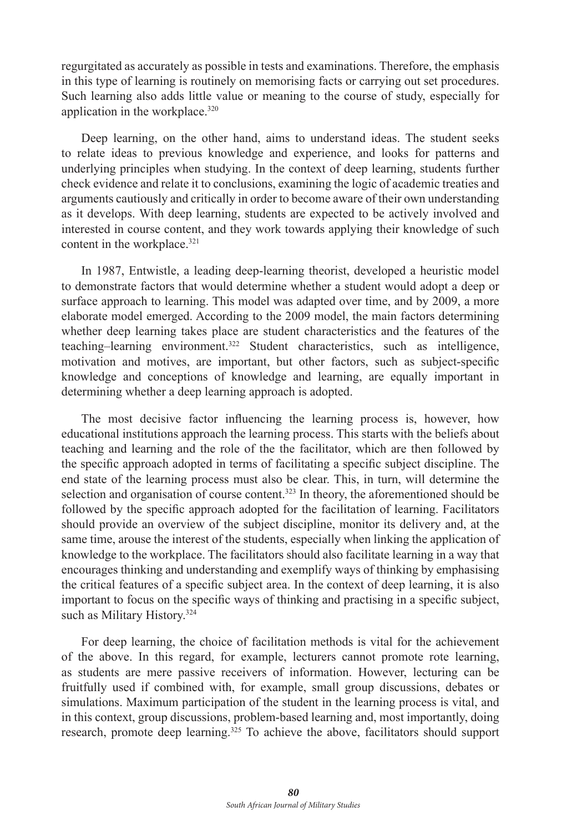regurgitated as accurately as possible in tests and examinations. Therefore, the emphasis in this type of learning is routinely on memorising facts or carrying out set procedures. Such learning also adds little value or meaning to the course of study, especially for application in the workplace.320

Deep learning, on the other hand, aims to understand ideas. The student seeks to relate ideas to previous knowledge and experience, and looks for patterns and underlying principles when studying. In the context of deep learning, students further check evidence and relate it to conclusions, examining the logic of academic treaties and arguments cautiously and critically in order to become aware of their own understanding as it develops. With deep learning, students are expected to be actively involved and interested in course content, and they work towards applying their knowledge of such content in the workplace.<sup>321</sup>

In 1987, Entwistle, a leading deep-learning theorist, developed a heuristic model to demonstrate factors that would determine whether a student would adopt a deep or surface approach to learning. This model was adapted over time, and by 2009, a more elaborate model emerged. According to the 2009 model, the main factors determining whether deep learning takes place are student characteristics and the features of the teaching–learning environment.322 Student characteristics, such as intelligence, motivation and motives, are important, but other factors, such as subject-specific knowledge and conceptions of knowledge and learning, are equally important in determining whether a deep learning approach is adopted.

The most decisive factor influencing the learning process is, however, how educational institutions approach the learning process. This starts with the beliefs about teaching and learning and the role of the the facilitator, which are then followed by the specific approach adopted in terms of facilitating a specific subject discipline. The end state of the learning process must also be clear. This, in turn, will determine the selection and organisation of course content.<sup>323</sup> In theory, the aforementioned should be followed by the specific approach adopted for the facilitation of learning. Facilitators should provide an overview of the subject discipline, monitor its delivery and, at the same time, arouse the interest of the students, especially when linking the application of knowledge to the workplace. The facilitators should also facilitate learning in a way that encourages thinking and understanding and exemplify ways of thinking by emphasising the critical features of a specific subject area. In the context of deep learning, it is also important to focus on the specific ways of thinking and practising in a specific subject, such as Military History.<sup>324</sup>

For deep learning, the choice of facilitation methods is vital for the achievement of the above. In this regard, for example, lecturers cannot promote rote learning, as students are mere passive receivers of information. However, lecturing can be fruitfully used if combined with, for example, small group discussions, debates or simulations. Maximum participation of the student in the learning process is vital, and in this context, group discussions, problem-based learning and, most importantly, doing research, promote deep learning.<sup>325</sup> To achieve the above, facilitators should support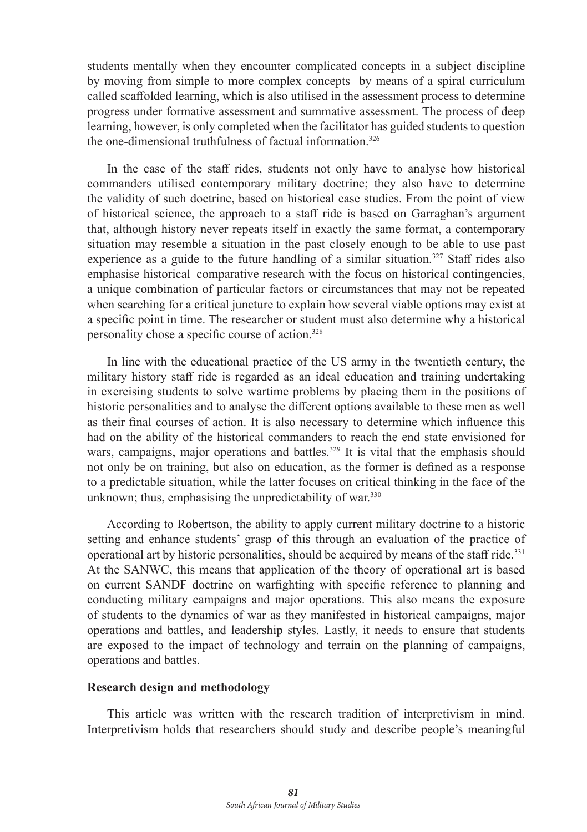students mentally when they encounter complicated concepts in a subject discipline by moving from simple to more complex concepts by means of a spiral curriculum called scaffolded learning, which is also utilised in the assessment process to determine progress under formative assessment and summative assessment. The process of deep learning, however, is only completed when the facilitator has guided students to question the one-dimensional truthfulness of factual information.326

In the case of the staff rides, students not only have to analyse how historical commanders utilised contemporary military doctrine; they also have to determine the validity of such doctrine, based on historical case studies. From the point of view of historical science, the approach to a staff ride is based on Garraghan's argument that, although history never repeats itself in exactly the same format, a contemporary situation may resemble a situation in the past closely enough to be able to use past experience as a guide to the future handling of a similar situation.<sup>327</sup> Staff rides also emphasise historical–comparative research with the focus on historical contingencies, a unique combination of particular factors or circumstances that may not be repeated when searching for a critical juncture to explain how several viable options may exist at a specific point in time. The researcher or student must also determine why a historical personality chose a specific course of action.328

In line with the educational practice of the US army in the twentieth century, the military history staff ride is regarded as an ideal education and training undertaking in exercising students to solve wartime problems by placing them in the positions of historic personalities and to analyse the different options available to these men as well as their final courses of action. It is also necessary to determine which influence this had on the ability of the historical commanders to reach the end state envisioned for wars, campaigns, major operations and battles.<sup>329</sup> It is vital that the emphasis should not only be on training, but also on education, as the former is defined as a response to a predictable situation, while the latter focuses on critical thinking in the face of the unknown; thus, emphasising the unpredictability of war.<sup>330</sup>

According to Robertson, the ability to apply current military doctrine to a historic setting and enhance students' grasp of this through an evaluation of the practice of operational art by historic personalities, should be acquired by means of the staff ride.<sup>331</sup> At the SANWC, this means that application of the theory of operational art is based on current SANDF doctrine on warfighting with specific reference to planning and conducting military campaigns and major operations. This also means the exposure of students to the dynamics of war as they manifested in historical campaigns, major operations and battles, and leadership styles. Lastly, it needs to ensure that students are exposed to the impact of technology and terrain on the planning of campaigns, operations and battles.

#### **Research design and methodology**

This article was written with the research tradition of interpretivism in mind. Interpretivism holds that researchers should study and describe people's meaningful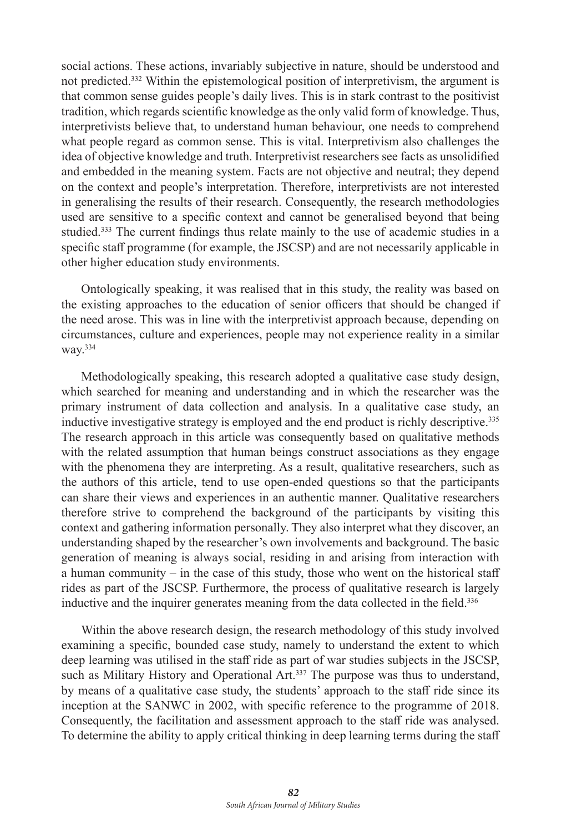social actions. These actions, invariably subjective in nature, should be understood and not predicted.332 Within the epistemological position of interpretivism, the argument is that common sense guides people's daily lives. This is in stark contrast to the positivist tradition, which regards scientific knowledge as the only valid form of knowledge. Thus, interpretivists believe that, to understand human behaviour, one needs to comprehend what people regard as common sense. This is vital. Interpretivism also challenges the idea of objective knowledge and truth. Interpretivist researchers see facts as unsolidified and embedded in the meaning system. Facts are not objective and neutral; they depend on the context and people's interpretation. Therefore, interpretivists are not interested in generalising the results of their research. Consequently, the research methodologies used are sensitive to a specific context and cannot be generalised beyond that being studied.<sup>333</sup> The current findings thus relate mainly to the use of academic studies in a specific staff programme (for example, the JSCSP) and are not necessarily applicable in other higher education study environments.

Ontologically speaking, it was realised that in this study, the reality was based on the existing approaches to the education of senior officers that should be changed if the need arose. This was in line with the interpretivist approach because, depending on circumstances, culture and experiences, people may not experience reality in a similar way.<sup>334</sup>

Methodologically speaking, this research adopted a qualitative case study design, which searched for meaning and understanding and in which the researcher was the primary instrument of data collection and analysis. In a qualitative case study, an inductive investigative strategy is employed and the end product is richly descriptive.<sup>335</sup> The research approach in this article was consequently based on qualitative methods with the related assumption that human beings construct associations as they engage with the phenomena they are interpreting. As a result, qualitative researchers, such as the authors of this article, tend to use open-ended questions so that the participants can share their views and experiences in an authentic manner. Qualitative researchers therefore strive to comprehend the background of the participants by visiting this context and gathering information personally. They also interpret what they discover, an understanding shaped by the researcher's own involvements and background. The basic generation of meaning is always social, residing in and arising from interaction with a human community – in the case of this study, those who went on the historical staff rides as part of the JSCSP. Furthermore, the process of qualitative research is largely inductive and the inquirer generates meaning from the data collected in the field.<sup>336</sup>

Within the above research design, the research methodology of this study involved examining a specific, bounded case study, namely to understand the extent to which deep learning was utilised in the staff ride as part of war studies subjects in the JSCSP, such as Military History and Operational Art.<sup>337</sup> The purpose was thus to understand, by means of a qualitative case study, the students' approach to the staff ride since its inception at the SANWC in 2002, with specific reference to the programme of 2018. Consequently, the facilitation and assessment approach to the staff ride was analysed. To determine the ability to apply critical thinking in deep learning terms during the staff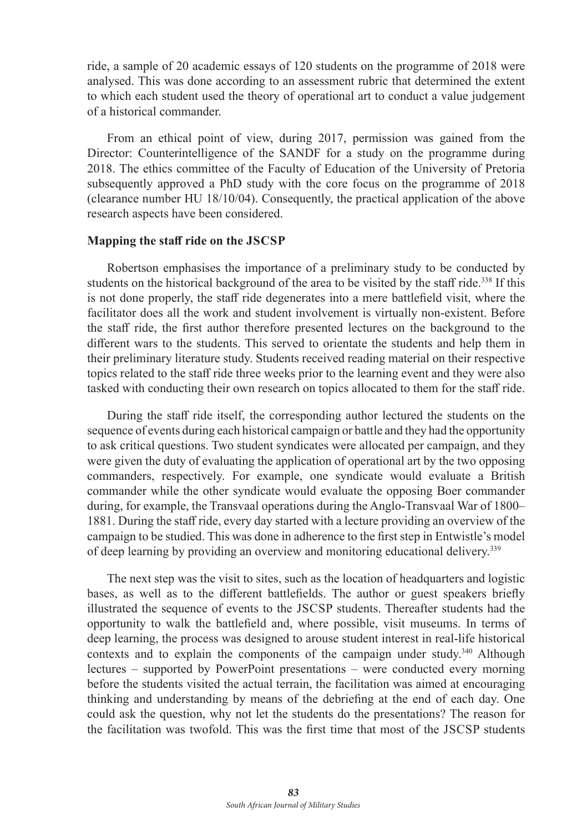ride, a sample of 20 academic essays of 120 students on the programme of 2018 were analysed. This was done according to an assessment rubric that determined the extent to which each student used the theory of operational art to conduct a value judgement of a historical commander.

From an ethical point of view, during 2017, permission was gained from the Director: Counterintelligence of the SANDF for a study on the programme during 2018. The ethics committee of the Faculty of Education of the University of Pretoria subsequently approved a PhD study with the core focus on the programme of 2018 (clearance number HU 18/10/04). Consequently, the practical application of the above research aspects have been considered.

#### **Mapping the staff ride on the JSCSP**

Robertson emphasises the importance of a preliminary study to be conducted by students on the historical background of the area to be visited by the staff ride.<sup>338</sup> If this is not done properly, the staff ride degenerates into a mere battlefield visit, where the facilitator does all the work and student involvement is virtually non-existent. Before the staff ride, the first author therefore presented lectures on the background to the different wars to the students. This served to orientate the students and help them in their preliminary literature study. Students received reading material on their respective topics related to the staff ride three weeks prior to the learning event and they were also tasked with conducting their own research on topics allocated to them for the staff ride.

During the staff ride itself, the corresponding author lectured the students on the sequence of events during each historical campaign or battle and they had the opportunity to ask critical questions. Two student syndicates were allocated per campaign, and they were given the duty of evaluating the application of operational art by the two opposing commanders, respectively. For example, one syndicate would evaluate a British commander while the other syndicate would evaluate the opposing Boer commander during, for example, the Transvaal operations during the Anglo-Transvaal War of 1800– 1881. During the staff ride, every day started with a lecture providing an overview of the campaign to be studied. This was done in adherence to the first step in Entwistle's model of deep learning by providing an overview and monitoring educational delivery.<sup>339</sup>

The next step was the visit to sites, such as the location of headquarters and logistic bases, as well as to the different battlefields. The author or guest speakers briefly illustrated the sequence of events to the JSCSP students. Thereafter students had the opportunity to walk the battlefield and, where possible, visit museums. In terms of deep learning, the process was designed to arouse student interest in real-life historical contexts and to explain the components of the campaign under study.<sup>340</sup> Although lectures – supported by PowerPoint presentations – were conducted every morning before the students visited the actual terrain, the facilitation was aimed at encouraging thinking and understanding by means of the debriefing at the end of each day. One could ask the question, why not let the students do the presentations? The reason for the facilitation was twofold. This was the first time that most of the JSCSP students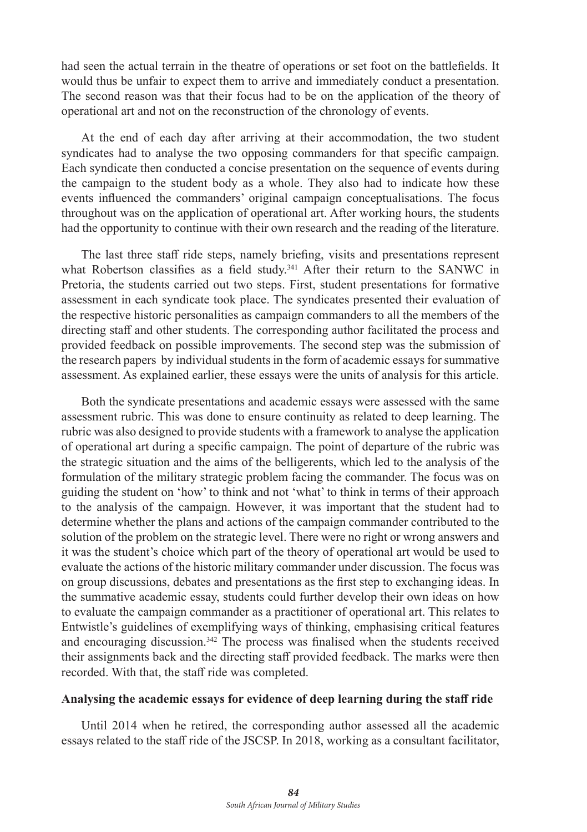had seen the actual terrain in the theatre of operations or set foot on the battlefields. It would thus be unfair to expect them to arrive and immediately conduct a presentation. The second reason was that their focus had to be on the application of the theory of operational art and not on the reconstruction of the chronology of events.

At the end of each day after arriving at their accommodation, the two student syndicates had to analyse the two opposing commanders for that specific campaign. Each syndicate then conducted a concise presentation on the sequence of events during the campaign to the student body as a whole. They also had to indicate how these events influenced the commanders' original campaign conceptualisations. The focus throughout was on the application of operational art. After working hours, the students had the opportunity to continue with their own research and the reading of the literature.

The last three staff ride steps, namely briefing, visits and presentations represent what Robertson classifies as a field study.<sup>341</sup> After their return to the SANWC in Pretoria, the students carried out two steps. First, student presentations for formative assessment in each syndicate took place. The syndicates presented their evaluation of the respective historic personalities as campaign commanders to all the members of the directing staff and other students. The corresponding author facilitated the process and provided feedback on possible improvements. The second step was the submission of the research papers by individual students in the form of academic essays for summative assessment. As explained earlier, these essays were the units of analysis for this article.

Both the syndicate presentations and academic essays were assessed with the same assessment rubric. This was done to ensure continuity as related to deep learning. The rubric was also designed to provide students with a framework to analyse the application of operational art during a specific campaign. The point of departure of the rubric was the strategic situation and the aims of the belligerents, which led to the analysis of the formulation of the military strategic problem facing the commander. The focus was on guiding the student on 'how' to think and not 'what' to think in terms of their approach to the analysis of the campaign. However, it was important that the student had to determine whether the plans and actions of the campaign commander contributed to the solution of the problem on the strategic level. There were no right or wrong answers and it was the student's choice which part of the theory of operational art would be used to evaluate the actions of the historic military commander under discussion. The focus was on group discussions, debates and presentations as the first step to exchanging ideas. In the summative academic essay, students could further develop their own ideas on how to evaluate the campaign commander as a practitioner of operational art. This relates to Entwistle's guidelines of exemplifying ways of thinking, emphasising critical features and encouraging discussion.342 The process was finalised when the students received their assignments back and the directing staff provided feedback. The marks were then recorded. With that, the staff ride was completed.

#### **Analysing the academic essays for evidence of deep learning during the staff ride**

Until 2014 when he retired, the corresponding author assessed all the academic essays related to the staff ride of the JSCSP. In 2018, working as a consultant facilitator,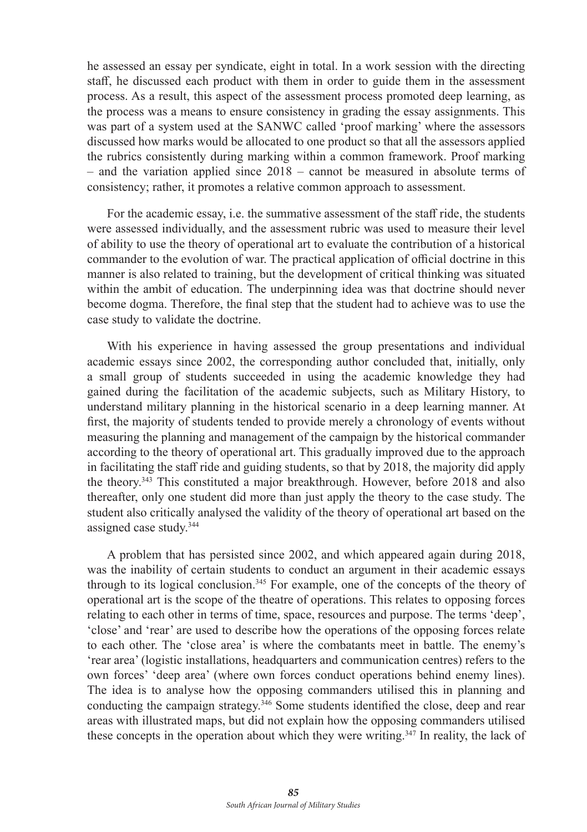he assessed an essay per syndicate, eight in total. In a work session with the directing staff, he discussed each product with them in order to guide them in the assessment process. As a result, this aspect of the assessment process promoted deep learning, as the process was a means to ensure consistency in grading the essay assignments. This was part of a system used at the SANWC called 'proof marking' where the assessors discussed how marks would be allocated to one product so that all the assessors applied the rubrics consistently during marking within a common framework. Proof marking – and the variation applied since 2018 – cannot be measured in absolute terms of consistency; rather, it promotes a relative common approach to assessment.

For the academic essay, i.e. the summative assessment of the staff ride, the students were assessed individually, and the assessment rubric was used to measure their level of ability to use the theory of operational art to evaluate the contribution of a historical commander to the evolution of war. The practical application of official doctrine in this manner is also related to training, but the development of critical thinking was situated within the ambit of education. The underpinning idea was that doctrine should never become dogma. Therefore, the final step that the student had to achieve was to use the case study to validate the doctrine.

With his experience in having assessed the group presentations and individual academic essays since 2002, the corresponding author concluded that, initially, only a small group of students succeeded in using the academic knowledge they had gained during the facilitation of the academic subjects, such as Military History, to understand military planning in the historical scenario in a deep learning manner. At first, the majority of students tended to provide merely a chronology of events without measuring the planning and management of the campaign by the historical commander according to the theory of operational art. This gradually improved due to the approach in facilitating the staff ride and guiding students, so that by 2018, the majority did apply the theory.<sup>343</sup> This constituted a major breakthrough. However, before 2018 and also thereafter, only one student did more than just apply the theory to the case study. The student also critically analysed the validity of the theory of operational art based on the assigned case study.<sup>344</sup>

A problem that has persisted since 2002, and which appeared again during 2018, was the inability of certain students to conduct an argument in their academic essays through to its logical conclusion.<sup>345</sup> For example, one of the concepts of the theory of operational art is the scope of the theatre of operations. This relates to opposing forces relating to each other in terms of time, space, resources and purpose. The terms 'deep', 'close' and 'rear' are used to describe how the operations of the opposing forces relate to each other. The 'close area' is where the combatants meet in battle. The enemy's 'rear area' (logistic installations, headquarters and communication centres) refers to the own forces' 'deep area' (where own forces conduct operations behind enemy lines). The idea is to analyse how the opposing commanders utilised this in planning and conducting the campaign strategy.346 Some students identified the close, deep and rear areas with illustrated maps, but did not explain how the opposing commanders utilised these concepts in the operation about which they were writing.347 In reality, the lack of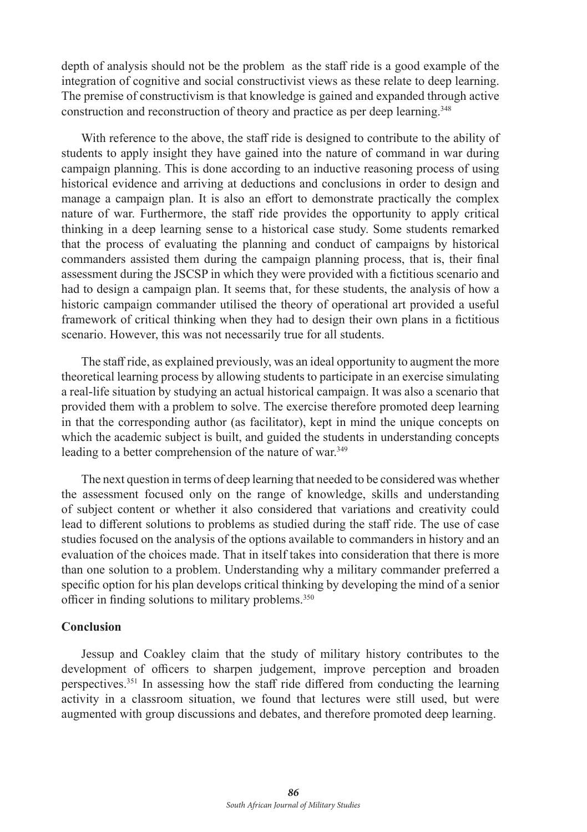depth of analysis should not be the problem as the staff ride is a good example of the integration of cognitive and social constructivist views as these relate to deep learning. The premise of constructivism is that knowledge is gained and expanded through active construction and reconstruction of theory and practice as per deep learning.<sup>348</sup>

With reference to the above, the staff ride is designed to contribute to the ability of students to apply insight they have gained into the nature of command in war during campaign planning. This is done according to an inductive reasoning process of using historical evidence and arriving at deductions and conclusions in order to design and manage a campaign plan. It is also an effort to demonstrate practically the complex nature of war. Furthermore, the staff ride provides the opportunity to apply critical thinking in a deep learning sense to a historical case study. Some students remarked that the process of evaluating the planning and conduct of campaigns by historical commanders assisted them during the campaign planning process, that is, their final assessment during the JSCSP in which they were provided with a fictitious scenario and had to design a campaign plan. It seems that, for these students, the analysis of how a historic campaign commander utilised the theory of operational art provided a useful framework of critical thinking when they had to design their own plans in a fictitious scenario. However, this was not necessarily true for all students.

The staff ride, as explained previously, was an ideal opportunity to augment the more theoretical learning process by allowing students to participate in an exercise simulating a real-life situation by studying an actual historical campaign. It was also a scenario that provided them with a problem to solve. The exercise therefore promoted deep learning in that the corresponding author (as facilitator), kept in mind the unique concepts on which the academic subject is built, and guided the students in understanding concepts leading to a better comprehension of the nature of war.<sup>349</sup>

The next question in terms of deep learning that needed to be considered was whether the assessment focused only on the range of knowledge, skills and understanding of subject content or whether it also considered that variations and creativity could lead to different solutions to problems as studied during the staff ride. The use of case studies focused on the analysis of the options available to commanders in history and an evaluation of the choices made. That in itself takes into consideration that there is more than one solution to a problem. Understanding why a military commander preferred a specific option for his plan develops critical thinking by developing the mind of a senior officer in finding solutions to military problems.350

#### **Conclusion**

Jessup and Coakley claim that the study of military history contributes to the development of officers to sharpen judgement, improve perception and broaden perspectives.<sup>351</sup> In assessing how the staff ride differed from conducting the learning activity in a classroom situation, we found that lectures were still used, but were augmented with group discussions and debates, and therefore promoted deep learning.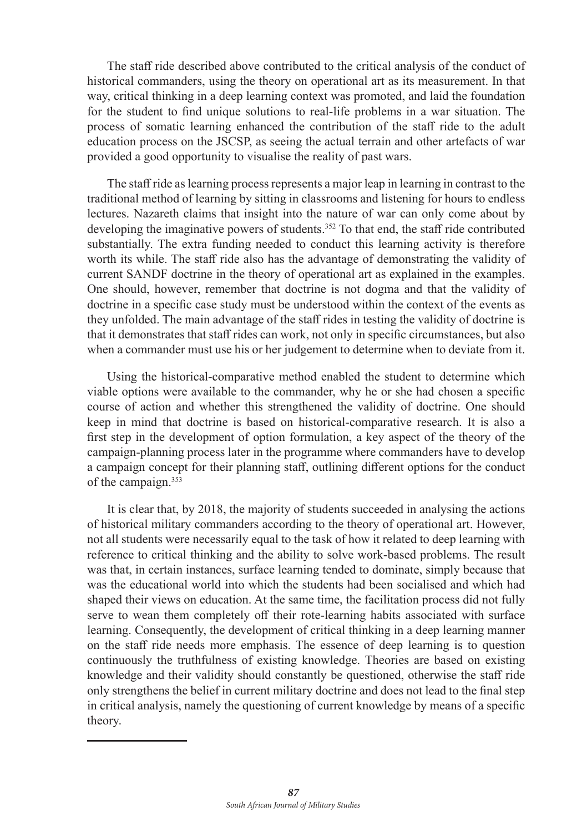The staff ride described above contributed to the critical analysis of the conduct of historical commanders, using the theory on operational art as its measurement. In that way, critical thinking in a deep learning context was promoted, and laid the foundation for the student to find unique solutions to real-life problems in a war situation. The process of somatic learning enhanced the contribution of the staff ride to the adult education process on the JSCSP, as seeing the actual terrain and other artefacts of war provided a good opportunity to visualise the reality of past wars.

The staff ride as learning process represents a major leap in learning in contrast to the traditional method of learning by sitting in classrooms and listening for hours to endless lectures. Nazareth claims that insight into the nature of war can only come about by developing the imaginative powers of students.352 To that end, the staff ride contributed substantially. The extra funding needed to conduct this learning activity is therefore worth its while. The staff ride also has the advantage of demonstrating the validity of current SANDF doctrine in the theory of operational art as explained in the examples. One should, however, remember that doctrine is not dogma and that the validity of doctrine in a specific case study must be understood within the context of the events as they unfolded. The main advantage of the staff rides in testing the validity of doctrine is that it demonstrates that staff rides can work, not only in specific circumstances, but also when a commander must use his or her judgement to determine when to deviate from it.

Using the historical-comparative method enabled the student to determine which viable options were available to the commander, why he or she had chosen a specific course of action and whether this strengthened the validity of doctrine. One should keep in mind that doctrine is based on historical-comparative research. It is also a first step in the development of option formulation, a key aspect of the theory of the campaign-planning process later in the programme where commanders have to develop a campaign concept for their planning staff, outlining different options for the conduct of the campaign.<sup>353</sup>

It is clear that, by 2018, the majority of students succeeded in analysing the actions of historical military commanders according to the theory of operational art. However, not all students were necessarily equal to the task of how it related to deep learning with reference to critical thinking and the ability to solve work-based problems. The result was that, in certain instances, surface learning tended to dominate, simply because that was the educational world into which the students had been socialised and which had shaped their views on education. At the same time, the facilitation process did not fully serve to wean them completely off their rote-learning habits associated with surface learning. Consequently, the development of critical thinking in a deep learning manner on the staff ride needs more emphasis. The essence of deep learning is to question continuously the truthfulness of existing knowledge. Theories are based on existing knowledge and their validity should constantly be questioned, otherwise the staff ride only strengthens the belief in current military doctrine and does not lead to the final step in critical analysis, namely the questioning of current knowledge by means of a specific theory.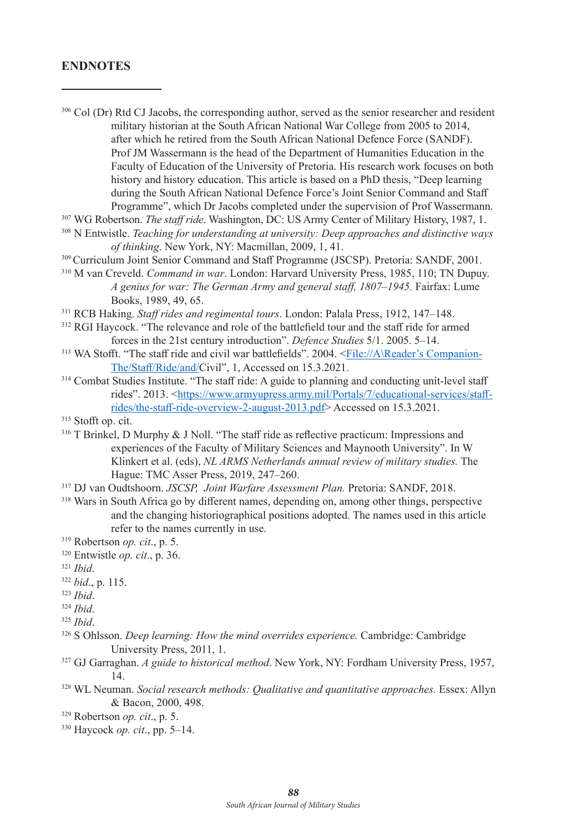### **ENDNOTES**

- <sup>306</sup> Col (Dr) Rtd CJ Jacobs, the corresponding author, served as the senior researcher and resident military historian at the South African National War College from 2005 to 2014, after which he retired from the South African National Defence Force (SANDF). Prof JM Wassermann is the head of the Department of Humanities Education in the Faculty of Education of the University of Pretoria. His research work focuses on both history and history education. This article is based on a PhD thesis, "Deep learning during the South African National Defence Force's Joint Senior Command and Staff Programme", which Dr Jacobs completed under the supervision of Prof Wassermann. 307 WG Robertson. *The staff ride*. Washington, DC: US Army Center of Military History, 1987, 1.
- 
- 308 N Entwistle. *Teaching for understanding at university: Deep approaches and distinctive ways of thinking*. New York, NY: Macmillan, 2009, 1, 41.
- 309 Curriculum Joint Senior Command and Staff Programme (JSCSP). Pretoria: SANDF, 2001.
- 310 M van Creveld. *Command in war*. London: Harvard University Press, 1985, 110; TN Dupuy. *A genius for war: The German Army and general staff, 1807–1945.* Fairfax: Lume Books, 1989, 49, 65.
- <sup>311</sup> RCB Haking. *Staff rides and regimental tours*. London: Palala Press, 1912, 147–148.
- <sup>312</sup> RGI Havcock. "The relevance and role of the battlefield tour and the staff ride for armed forces in the 21st century introduction". *Defence Studies* 5/1. 2005. 5–14.
- 313 WA Stofft. "The staff ride and civil war battlefields". 2004. <File://A\Reader's Companion-The/Staff/Ride/and/Civil", 1, Accessed on 15.3.2021.
- <sup>314</sup> Combat Studies Institute. "The staff ride: A guide to planning and conducting unit-level staff rides". 2013. <https://www.armyupress.army.mil/Portals/7/educational-services/staffrides/the-staff-ride-overview-2-august-2013.pdf> Accessed on 15.3.2021.
- <sup>315</sup> Stofft op. cit.
- <sup>316</sup> T Brinkel, D Murphy & J Noll. "The staff ride as reflective practicum: Impressions and experiences of the Faculty of Military Sciences and Maynooth University". In W Klinkert et al. (eds), *NL ARMS Netherlands annual review of military studies.* The Hague: TMC Asser Press, 2019, 247–260.
- <sup>317</sup> DJ van Oudtshoorn. *JSCSP, Joint Warfare Assessment Plan.* Pretoria: SANDF, 2018.
- <sup>318</sup> Wars in South Africa go by different names, depending on, among other things, perspective and the changing historiographical positions adopted. The names used in this article refer to the names currently in use.

- <sup>320</sup> Entwistle *op. cit*., p. 36.
- <sup>321</sup> *Ibid*.
- <sup>322</sup> *bid*., p. 115.
- <sup>323</sup> *Ibid*.
- <sup>324</sup> *Ibid*.

- 326 S Ohlsson. *Deep learning: How the mind overrides experience.* Cambridge: Cambridge University Press, 2011, 1.
- 327 GJ Garraghan. *A guide to historical method*. New York, NY: Fordham University Press, 1957, 14.
- 328 WL Neuman. *Social research methods: Qualitative and quantitative approaches.* Essex: Allyn & Bacon, 2000, 498.
- <sup>329</sup> Robertson *op. cit*., p. 5.
- <sup>330</sup> Haycock *op. cit*., pp. 5–14.

<sup>319</sup> Robertson *op. cit*., p. 5.

<sup>325</sup> *Ibid*.